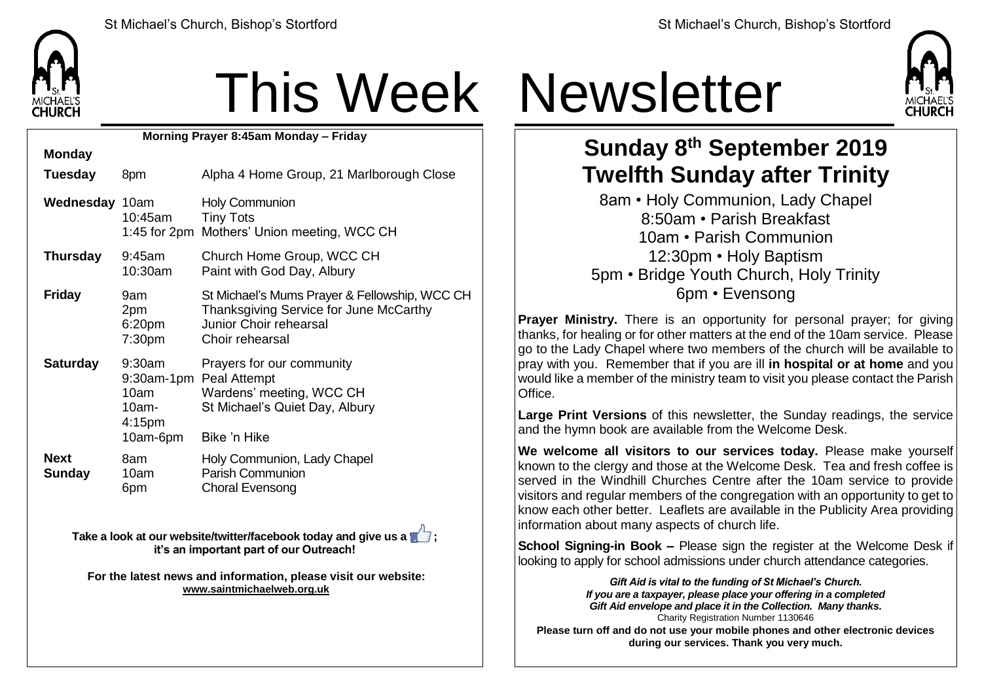

## This Week Newsletter

**Morning Prayer 8:45am Monday – Friday**

| <b>Monday</b>         |                                                              |                                                                                                                                      |
|-----------------------|--------------------------------------------------------------|--------------------------------------------------------------------------------------------------------------------------------------|
| <b>Tuesday</b>        | 8pm                                                          | Alpha 4 Home Group, 21 Marlborough Close                                                                                             |
| Wednesday 10am        | 10:45am                                                      | <b>Holy Communion</b><br><b>Tiny Tots</b><br>1:45 for 2pm Mothers' Union meeting, WCC CH                                             |
| Thursday              | $9:45$ am<br>10:30am                                         | Church Home Group, WCC CH<br>Paint with God Day, Albury                                                                              |
| <b>Friday</b>         | 9am<br>2pm<br>6:20pm<br>7:30 <sub>pm</sub>                   | St Michael's Mums Prayer & Fellowship, WCC CH<br>Thanksgiving Service for June McCarthy<br>Junior Choir rehearsal<br>Choir rehearsal |
| <b>Saturday</b>       | 9:30am<br>10am<br>$10am -$<br>4:15 <sub>pm</sub><br>10am-6pm | Prayers for our community<br>9:30am-1pm Peal Attempt<br>Wardens' meeting, WCC CH<br>St Michael's Quiet Day, Albury<br>Bike 'n Hike   |
| <b>Next</b><br>Sunday | 8am<br>10am<br>6pm                                           | Holy Communion, Lady Chapel<br><b>Parish Communion</b><br><b>Choral Evensong</b>                                                     |

**Take a look at our website/twitter/facebook today and give us a**  $\blacksquare$ **; it's an important part of our Outreach!**

**For the latest news and information, please visit our website: [www.saintmichaelweb.org.uk](http://www.saintmichaelweb.org.uk/)**



## **Sunday 8 th September 2019 Twelfth Sunday after Trinity**

8am • Holy Communion, Lady Chapel 8:50am • Parish Breakfast 10am • Parish Communion 12:30pm • Holy Baptism 5pm • Bridge Youth Church, Holy Trinity 6pm • Evensong

**Prayer Ministry.** There is an opportunity for personal prayer; for giving thanks, for healing or for other matters at the end of the 10am service. Please go to the Lady Chapel where two members of the church will be available to pray with you. Remember that if you are ill **in hospital or at home** and you would like a member of the ministry team to visit you please contact the Parish Office.

**Large Print Versions** of this newsletter, the Sunday readings, the service and the hymn book are available from the Welcome Desk.

**We welcome all visitors to our services today.** Please make yourself known to the clergy and those at the Welcome Desk. Tea and fresh coffee is served in the Windhill Churches Centre after the 10am service to provide visitors and regular members of the congregation with an opportunity to get to know each other better. Leaflets are available in the Publicity Area providing information about many aspects of church life.

**School Signing-in Book –** Please sign the register at the Welcome Desk if looking to apply for school admissions under church attendance categories.

*Gift Aid is vital to the funding of St Michael's Church. If you are a taxpayer, please place your offering in a completed Gift Aid envelope and place it in the Collection. Many thanks.* Charity Registration Number 1130646 **Please turn off and do not use your mobile phones and other electronic devices during our services. Thank you very much.**